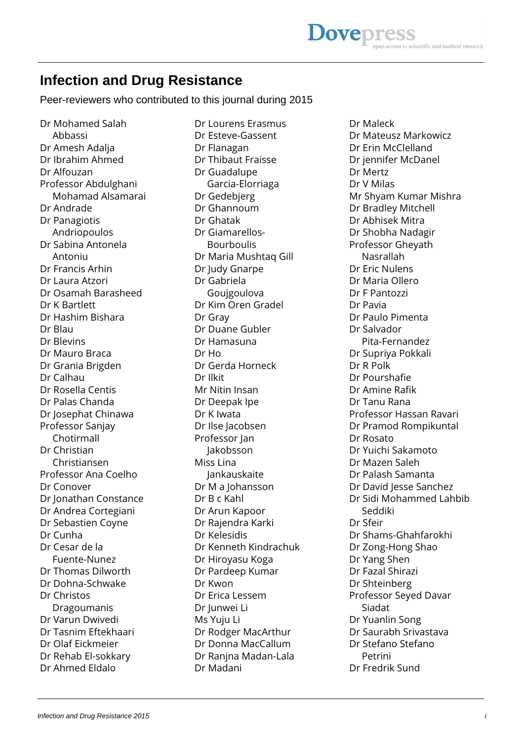## **Infection and Drug Resistance**

Peer-reviewers who contributed to this journal during 2015

Dr Mohamed Salah Abbassi Dr Amesh Adalja Dr Ibrahim Ahmed Dr Alfouzan Professor Abdulghani Mohamad Alsamarai Dr Andrade Dr Panagiotis Andriopoulos Dr Sabina Antonela Antoniu Dr Francis Arhin Dr Laura Atzori Dr Osamah Barasheed Dr K Bartlett Dr Hashim Bishara Dr Blau Dr Blevins Dr Mauro Braca Dr Grania Brigden Dr Calhau Dr Rosella Centis Dr Palas Chanda Dr Josephat Chinawa Professor Sanjay Chotirmall Dr Christian Christiansen Professor Ana Coelho Dr Conover Dr Jonathan Constance Dr Andrea Cortegiani Dr Sebastien Coyne Dr Cunha Dr Cesar de la Fuente-Nunez Dr Thomas Dilworth Dr Dohna-Schwake Dr Christos Dragoumanis Dr Varun Dwivedi Dr Tasnim Eftekhaari Dr Olaf Eickmeier Dr Rehab El-sokkary Dr Ahmed Eldalo

Dr Lourens Erasmus Dr Esteve-Gassent Dr Flanagan Dr Thibaut Fraisse Dr Guadalupe Garcia-Elorriaga Dr Gedebjerg Dr Ghannoum Dr Ghatak Dr Giamarellos- Bourboulis Dr Maria Mushtaq Gill Dr Judy Gnarpe Dr Gabriela Goujgoulova Dr Kim Oren Gradel Dr Gray Dr Duane Gubler Dr Hamasuna Dr Ho Dr Gerda Horneck Dr Ilkit Mr Nitin Insan Dr Deepak Ipe Dr K Iwata Dr Ilse Jacobsen Professor Jan Jakobsson Miss Lina Jankauskaite Dr M a Johansson Dr B c Kahl Dr Arun Kapoor Dr Rajendra Karki Dr Kelesidis Dr Kenneth Kindrachuk Dr Hiroyasu Koga Dr Pardeep Kumar Dr Kwon Dr Erica Lessem Dr Junwei Li Ms Yuju Li Dr Rodger MacArthur Dr Donna MacCallum Dr Ranjna Madan-Lala Dr Madani

Dr Maleck Dr Mateusz Markowicz Dr Erin McClelland Dr jennifer McDanel Dr Mertz Dr V Milas Mr Shyam Kumar Mishra Dr Bradley Mitchell Dr Abhisek Mitra Dr Shobha Nadagir Professor Gheyath Nasrallah Dr Eric Nulens Dr Maria Ollero Dr F Pantozzi Dr Pavia Dr Paulo Pimenta Dr Salvador Pita-Fernandez Dr Supriya Pokkali Dr R Polk Dr Pourshafie Dr Amine Rafik Dr Tanu Rana Professor Hassan Ravari Dr Pramod Rompikuntal Dr Rosato Dr Yuichi Sakamoto Dr Mazen Saleh Dr Palash Samanta Dr David Jesse Sanchez Dr Sidi Mohammed Lahbib Seddiki Dr Sfeir Dr Shams-Ghahfarokhi Dr Zong-Hong Shao Dr Yang Shen Dr Fazal Shirazi Dr Shteinberg Professor Seyed Davar Siadat Dr Yuanlin Song Dr Saurabh Srivastava Dr Stefano Stefano Petrini Dr Fredrik Sund